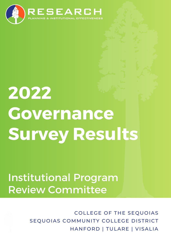

# **2022 Governance Survey Results**

# Institutional Program Review Committee

COLLEGE OF THE SEQUOIAS SEQUOIAS COMMUNITY COLLEGE DISTRICT HANFORD | TULARE | VISALIA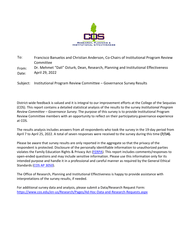

To: Francisco Banuelos and Christian Anderson, Co-Chairs of Institutional Program Review Committee

From: Date: Dr. Mehmet "Dali" Ozturk, Dean, Research, Planning and Institutional Effectiveness April 29, 2022

Subject: Institutional Program Review Committee – Governance Survey Results

District-wide feedback is valued and it is integral to our improvement efforts at the College of the Sequoias (COS). This report contains a detailed statistical analysis of the results to the survey *Institutional Program Review Committee – Governance Survey.* The purpose of this survey is to provide Institutional Program Review Committee members with an opportunity to reflect on their participatory governance experience at COS.

The results analysis includes answers from all respondents who took the survey in the 19-day period from April 7 to April 25, 2022. A total of seven responses were received to the survey during this time **(7/14).**

Please be aware that survey results are only reported in the aggregate so that the privacy of the respondent is protected. Disclosure of the personally identifiable information to unauthorized parties violates the Family Education Rights & Privacy Act [\(FERPA\)](https://www2.ed.gov/policy/gen/guid/fpco/ferpa/index.html). This report includes comments/responses to open-ended questions and may include sensitive information. Please use this information only for its intended purpose and handle it in a professional and careful manner as required by the General Ethical Standards [\(COS AP 3050\).](https://www.cos.edu/en-us/Governance/Board/BoardPolicies/Documents/AP%203050%20-%20Institutional%20Code%20of%20Ethics.pdf)

The Office of Research, Planning and Institutional Effectiveness is happy to provide assistance with interpretations of the survey results, if needed.

For additional survey data and analysis, please submit a Data/Research Request Form: https:[//www.cos.edu/en-us/Research/Pages/Ad-Hoc-Data-and-Research-Requests.aspx](http://www.cos.edu/en-us/Research/Pages/Ad-Hoc-Data-and-Research-Requests.aspx)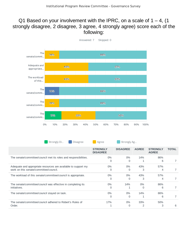#### Q1 Based on your involvement with the IPRC, on a scale of  $1 - 4$ , (1) strongly disagree, 2 disagree, 3 agree, 4 strongly agree) score each of the following:

Answered: 7 Skipped: 0



| Strongly Di<br>TUISagree                                                                                 | Agree                              | Strongly Ag       |              |                                 |              |
|----------------------------------------------------------------------------------------------------------|------------------------------------|-------------------|--------------|---------------------------------|--------------|
|                                                                                                          | <b>STRONGLY</b><br><b>DISAGREE</b> | <b>DISAGREE</b>   | <b>AGREE</b> | <b>STRONGLY</b><br><b>AGREE</b> | <b>TOTAL</b> |
| The senate/committee/council met its roles and responsibilities.                                         | 0%<br>$\Omega$                     | $0\%$<br>0        | 14%          | 86%<br>6                        |              |
| Adequate and appropriate resources are available to support my<br>work on this senate/committee/council. | $0\%$<br>0                         | $0\%$<br>$\Omega$ | 43%<br>3     | 57%<br>4                        |              |
| The workload of this senate/committee/council is appropriate.                                            | $0\%$<br>$\Omega$                  | $0\%$             | 43%<br>3     | 57%<br>4                        |              |
| The senate/committee/council was effective in completing its<br>initiatives.                             | $0\%$<br>0                         | 14%               | 0%<br>0      | 86%<br>6                        |              |
| The senate/committee/council stayed on task.                                                             | $0\%$<br>$\Omega$                  | 0%                | 14%          | 86%<br>6                        |              |
| The senate/committee/council adhered to Robert's Rules of<br>Order.                                      | 17%                                | $0\%$             | 33%          | 50%<br>3                        | 6            |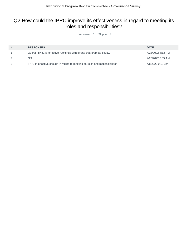# Q2 How could the IPRC improve its effectiveness in regard to meeting its roles and responsibilities?

Answered: 3 Skipped: 4

| # | <b>RESPONSES</b>                                                             | <b>DATE</b>       |
|---|------------------------------------------------------------------------------|-------------------|
|   | Overall, IPRC is effective. Continue with efforts that promote equity.       | 4/25/2022 4:13 PM |
|   | N/A                                                                          | 4/25/2022 8:35 AM |
|   | IPRC is effective enough in regard to meeting its roles and responsibilities | 4/8/2022 9:19 AM  |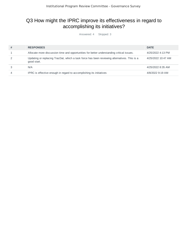# Q3 How might the IPRC improve its effectiveness in regard to accomplishing its initiatives?

Answered: 4 Skipped: 3

| # | <b>RESPONSES</b>                                                                                            | <b>DATE</b>        |
|---|-------------------------------------------------------------------------------------------------------------|--------------------|
|   | Allocate more discussion time and opportunities for better understanding critical issues.                   | 4/25/2022 4:13 PM  |
|   | Updating or replacing TracDat, which a task force has been reviewing alternatives. This is a<br>good start. | 4/25/2022 10:47 AM |
|   | N/A                                                                                                         | 4/25/2022 8:35 AM  |
| 4 | IPRC is effective enough in regard to accomplishing its initiatives                                         | 4/8/2022 9:19 AM   |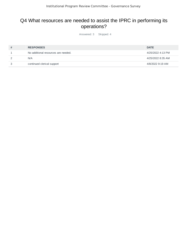#### Q4 What resources are needed to assist the IPRC in performing its operations?

Answered: 3 Skipped: 4

| # | <b>RESPONSES</b>                    | <b>DATE</b>       |
|---|-------------------------------------|-------------------|
|   | No additional resources are needed. | 4/25/2022 4:13 PM |
|   | N/A                                 | 4/25/2022 8:35 AM |
| 3 | continued clerical support          | 4/8/2022 9:19 AM  |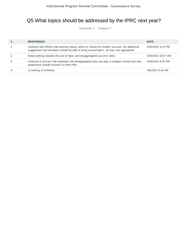## Q5 What topics should be addressed by the IPRC next year?

Answered: 4 Skipped: 3

| # | <b>RESPONSES</b>                                                                                                                                                                           | <b>DATE</b>        |
|---|--------------------------------------------------------------------------------------------------------------------------------------------------------------------------------------------|--------------------|
|   | Continue with efforts that promote equity, which is critical for student success. No additional<br>suggestions but members should be able to bring issues/topics, as they see appropriate. | 4/25/2022 4:13 PM  |
|   | Keep working towards the use of data, and disaggregated success rates.                                                                                                                     | 4/25/2022 10:47 AM |
|   | Continue to discuss the important role disaggregated data can play in program review and why<br>department should include it in their PRs.                                                 | 4/25/2022 8:35 AM  |
|   | 1) training 2) Software                                                                                                                                                                    | 4/8/2022 9:19 AM   |